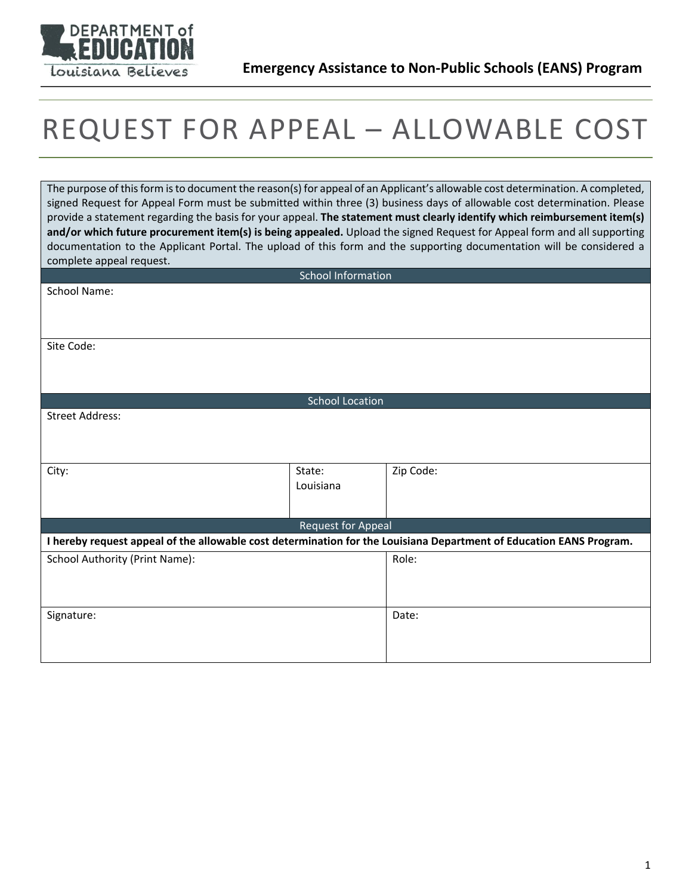

## REQUEST FOR APPEAL – ALLOWABLE COST

The purpose of this form is to document the reason(s) for appeal of an Applicant's allowable cost determination. A completed, signed Request for Appeal Form must be submitted within three (3) business days of allowable cost determination. Please provide a statement regarding the basis for your appeal. **The statement must clearly identify which reimbursement item(s) and/or which future procurement item(s) is being appealed.** Upload the signed Request for Appeal form and all supporting documentation to the Applicant Portal. The upload of this form and the supporting documentation will be considered a complete appeal request.

| School Information                                                                                                  |                    |           |
|---------------------------------------------------------------------------------------------------------------------|--------------------|-----------|
| School Name:                                                                                                        |                    |           |
|                                                                                                                     |                    |           |
|                                                                                                                     |                    |           |
| Site Code:                                                                                                          |                    |           |
|                                                                                                                     |                    |           |
|                                                                                                                     |                    |           |
|                                                                                                                     |                    |           |
| <b>School Location</b>                                                                                              |                    |           |
| <b>Street Address:</b>                                                                                              |                    |           |
|                                                                                                                     |                    |           |
|                                                                                                                     |                    |           |
| City:                                                                                                               | State:             | Zip Code: |
|                                                                                                                     | Louisiana          |           |
|                                                                                                                     |                    |           |
|                                                                                                                     | Request for Appeal |           |
| I hereby request appeal of the allowable cost determination for the Louisiana Department of Education EANS Program. |                    |           |
|                                                                                                                     |                    |           |
| School Authority (Print Name):                                                                                      |                    | Role:     |
|                                                                                                                     |                    |           |
|                                                                                                                     |                    |           |
| Signature:                                                                                                          |                    | Date:     |
|                                                                                                                     |                    |           |
|                                                                                                                     |                    |           |
|                                                                                                                     |                    |           |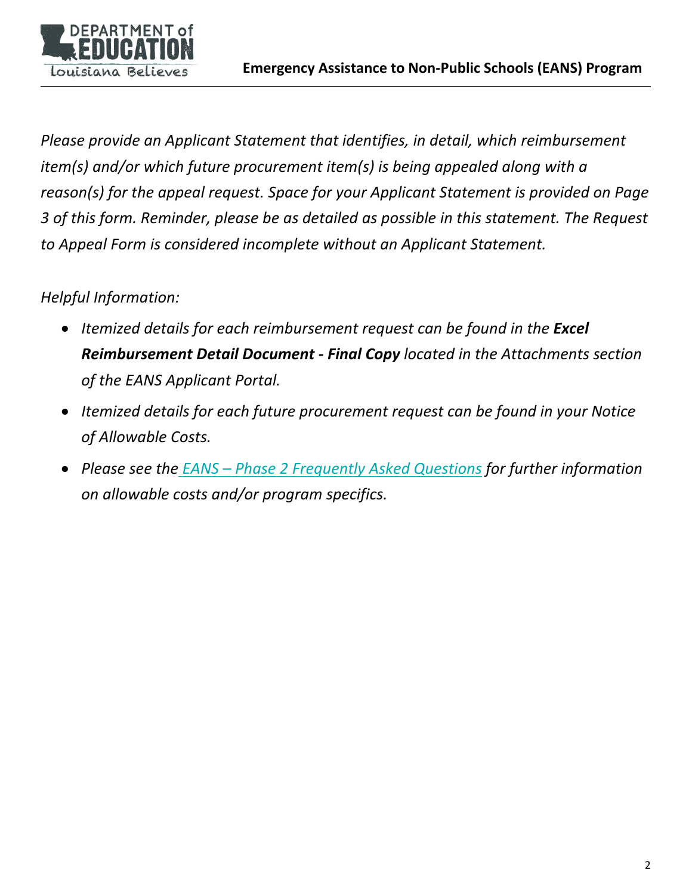

*Please provide an Applicant Statement that identifies, in detail, which reimbursement item(s) and/or which future procurement item(s) is being appealed along with a reason(s) for the appeal request. Space for your Applicant Statement is provided on Page 3 of this form. Reminder, please be as detailed as possible in this statement. The Request to Appeal Form is considered incomplete without an Applicant Statement.*

## *Helpful Information:*

- *Itemized details for each reimbursement request can be found in the Excel Reimbursement Detail Document - Final Copy located in the Attachments section of the EANS Applicant Portal.*
- *Itemized details for each future procurement request can be found in your Notice of Allowable Costs.*
- *Please see the EANS – [Phase 2 Frequently Asked Questions](https://www.louisianabelieves.com/docs/default-source/operations/phase-2---eans-frequently-asked-questions.pdf?sfvrsn=3f3e6718_8) for further information on allowable costs and/or program specifics.*